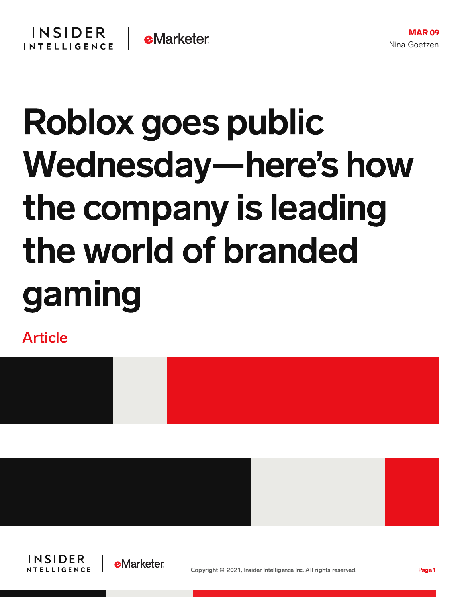## Roblox goes public Wednesday—here's how the company is leading the world of branded gaming

Article







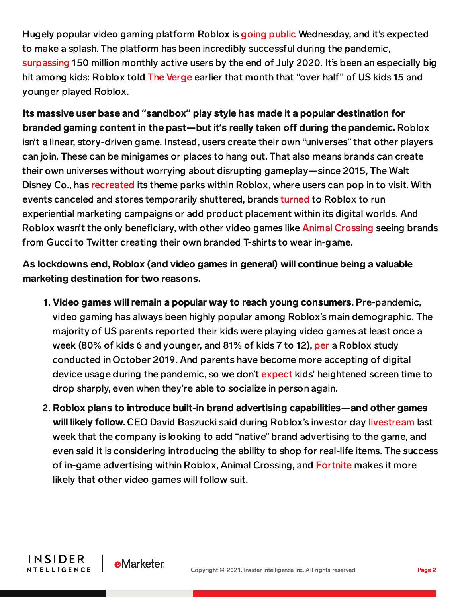Hugely popular video gaming platform Roblox is going [public](https://venturebeat.com/2021/02/22/roblox-plans-to-list-shares-on-march-10-reports-82-revenue-growth-to-923-million-for-2020/) Wednesday, and it's expected to make a splash. The platform has been incredibly successful during the pandemic, [surpassing](https://corp.roblox.com/2020/07/roblox-developers-expected-earn-250-million-2020-platform-now-150-million-monthly-active-users/) 150 million monthly active users by the end of July 2020. It's been an especially big hit among kids: Roblox told The [Verge](https://www.theverge.com/2020/7/21/21333431/roblox-over-half-of-us-kids-playing-virtual-parties-fortnite) earlier that month that "over half" of US kids 15 and younger played Roblox.

Its massive user base and **"**sandbox**"** play style has made it a popular destination for branded gaming content in the past—but it's really taken off during the pandemic. Roblox isn't a linear, story-driven game. Instead, users create their own "universes" that other players can join. These can be minigames or places to hang out. That also means brands can create their own universes without worrying about disrupting gameplay—since 2015, The Walt Disney Co., has [recreated](https://www.fastcompany.com/3068948/roblox-investment-virtual-social-gaming-platform) its theme parks within Roblox, where users can pop in to visit. With events canceled and stores temporarily shuttered, brands [turned](https://digiday.com/marketing/how-roblox-is-paving-the-way-for-a-new-era-of-branded-gaming/) to Roblox to run experiential marketing campaigns or add product placement within its digital worlds. And Roblox wasn't the only beneficiary, with other video games like Animal [Crossing](https://www.thedrum.com/news/2020/04/21/animal-crossing-emerging-media-channel-brands-lockdown) seeing brands from Gucci to Twitter creating their own branded T-shirts to wear in-game.

## As lockdowns end, Roblox (and video games in general) will continue being a valuable marketing destination for two reasons.

- 1. Video games will remain a popular way to reach young consumers. Pre-pandemic, video gaming has always been highly popular among Roblox's main demographic. The majority of US parents reported their kids were playing video games at least once a week (80% of kids 6 and younger, and 81% of kids 7 to 12), [per](https://chart-na1.emarketer.com/232128/how-often-do-us-children-play-online-games-of-parent-respondents-by-age-of-child-oct-2019) a Roblox study conducted in October 2019. And parents have become more accepting of digital device usage during the pandemic, so we don't [expect](https://content-na1.emarketer.com/increased-screen-time-children-teens-likely-here-stay) kids' heightened screen time to drop sharply, even when they're able to socialize in person again.
- 2. Roblox plans to introduce built-in brand advertising capabilities—and other games will likely follow. CEO David Baszucki said during Roblox's investor day [livestream](https://www.youtube.com/watch?v=7XisxSUUbe8) last week that the company is looking to add "native" brand advertising to the game, and even said it is considering introducing the ability to shop for real-life items. The success of in-game advertising within Roblox, Animal Crossing, and [Fortnite](https://apptrigger.com/2020/05/23/fortnite-advertising/) makes it more likely that other video games will follow suit.

**INSIDER** 

**INTELLIGENCE** 

**e**Marketer